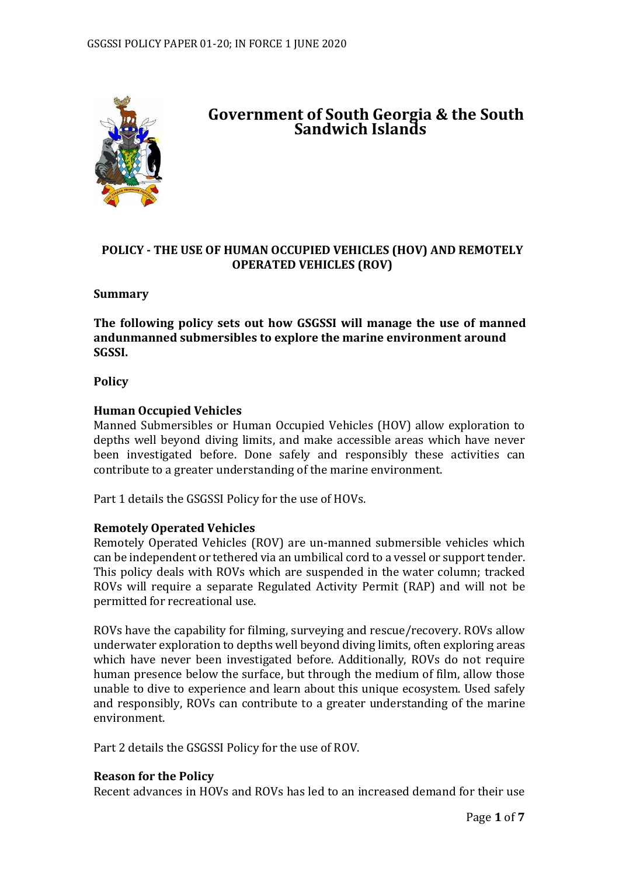

# **Government of South Georgia & the South Sandwich Islands**

### **POLICY - THE USE OF HUMAN OCCUPIED VEHICLES (HOV) AND REMOTELY OPERATED VEHICLES (ROV)**

#### **Summary**

**The following policy sets out how GSGSSI will manage the use of manned andunmanned submersibles to explore the marine environment around SGSSI.**

**Policy**

#### **Human Occupied Vehicles**

Manned Submersibles or Human Occupied Vehicles (HOV) allow exploration to depths well beyond diving limits, and make accessible areas which have never been investigated before. Done safely and responsibly these activities can contribute to a greater understanding of the marine environment.

Part 1 details the GSGSSI Policy for the use of HOVs.

#### **Remotely Operated Vehicles**

Remotely Operated Vehicles (ROV) are un-manned submersible vehicles which can be independent or tethered via an umbilical cord to a vessel or support tender. This policy deals with ROVs which are suspended in the water column; tracked ROVs will require a separate Regulated Activity Permit (RAP) and will not be permitted for recreational use.

ROVs have the capability for filming, surveying and rescue/recovery. ROVs allow underwater exploration to depths well beyond diving limits, often exploring areas which have never been investigated before. Additionally, ROVs do not require human presence below the surface, but through the medium of film, allow those unable to dive to experience and learn about this unique ecosystem. Used safely and responsibly, ROVs can contribute to a greater understanding of the marine environment.

Part 2 details the GSGSSI Policy for the use of ROV.

#### **Reason for the Policy**

Recent advances in HOVs and ROVs has led to an increased demand for their use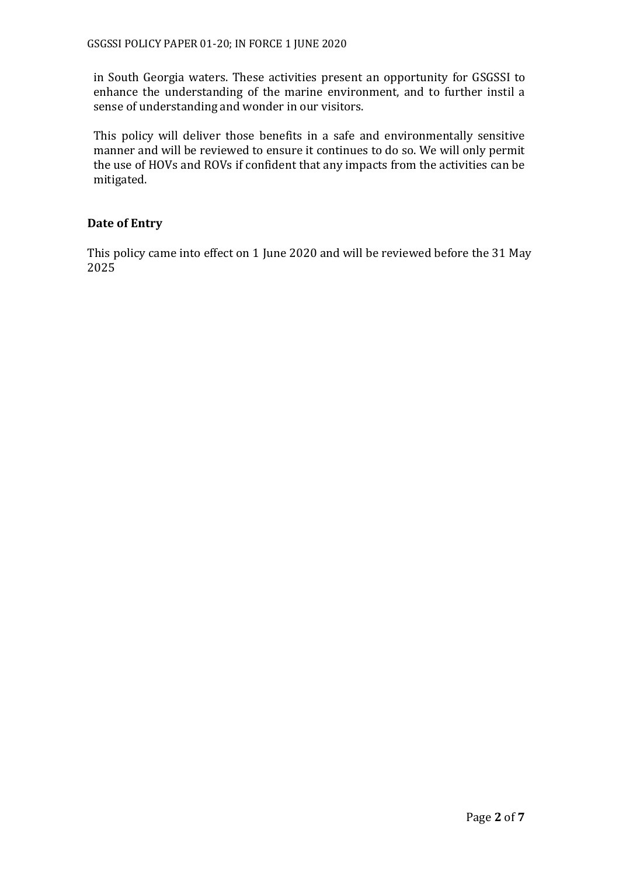in South Georgia waters. These activities present an opportunity for GSGSSI to enhance the understanding of the marine environment, and to further instil a sense of understanding and wonder in our visitors.

This policy will deliver those benefits in a safe and environmentally sensitive manner and will be reviewed to ensure it continues to do so. We will only permit the use of HOVs and ROVs if confident that any impacts from the activities can be mitigated.

#### **Date of Entry**

This policy came into effect on 1 June 2020 and will be reviewed before the 31 May 2025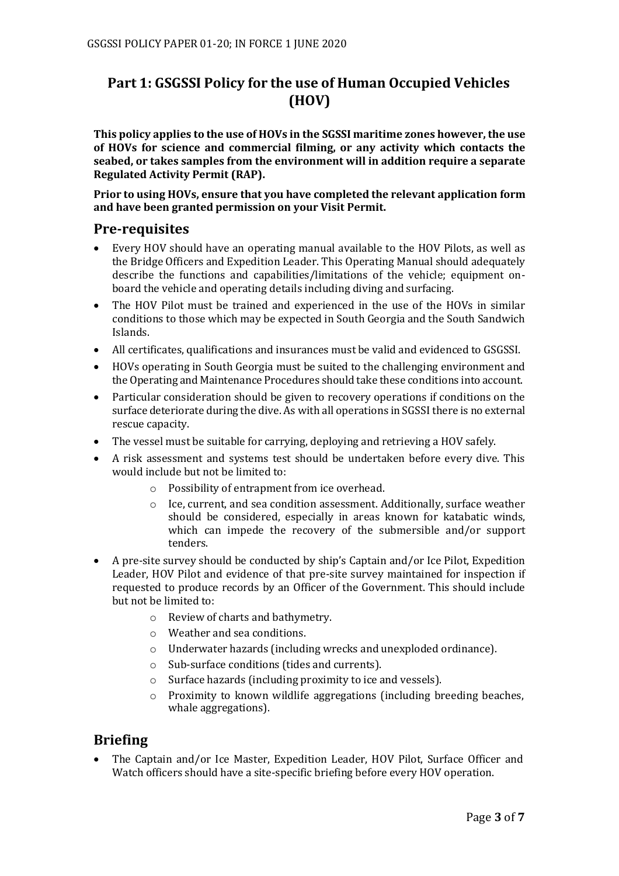# **Part 1: GSGSSI Policy for the use of Human Occupied Vehicles (HOV)**

**This policy applies to the use of HOVs in the SGSSI maritime zones however,the use of HOVs for science and commercial filming, or any activity which contacts the seabed, or takes samples from the environment will in addition require a separate Regulated Activity Permit (RAP).**

**Prior to using HOVs, ensure that you have completed the relevant application form and have been granted permission on your Visit Permit.**

#### **Pre-requisites**

- Every HOV should have an operating manual available to the HOV Pilots, as well as the Bridge Officers and Expedition Leader. This Operating Manual should adequately describe the functions and capabilities/limitations of the vehicle; equipment onboard the vehicle and operating details including diving and surfacing.
- The HOV Pilot must be trained and experienced in the use of the HOVs in similar conditions to those which may be expected in South Georgia and the South Sandwich Islands.
- All certificates, qualifications and insurances must be valid and evidenced to GSGSSI.
- HOVs operating in South Georgia must be suited to the challenging environment and the Operating and Maintenance Procedures should take these conditions into account.
- Particular consideration should be given to recovery operations if conditions on the surface deteriorate during the dive. As with all operations in SGSSI there is no external rescue capacity.
- The vessel must be suitable for carrying, deploying and retrieving a HOV safely.
- A risk assessment and systems test should be undertaken before every dive. This would include but not be limited to:
	- o Possibility of entrapment from ice overhead.
	- o Ice, current, and sea condition assessment. Additionally, surface weather should be considered, especially in areas known for katabatic winds, which can impede the recovery of the submersible and/or support tenders.
- A pre-site survey should be conducted by ship's Captain and/or Ice Pilot, Expedition Leader, HOV Pilot and evidence of that pre-site survey maintained for inspection if requested to produce records by an Officer of the Government. This should include but not be limited to:
	- o Review of charts and bathymetry.
	- o Weather and sea conditions.
	- o Underwater hazards (including wrecks and unexploded ordinance).
	- o Sub-surface conditions (tides and currents).
	- o Surface hazards (including proximity to ice and vessels).
	- o Proximity to known wildlife aggregations (including breeding beaches, whale aggregations).

### **Briefing**

• The Captain and/or Ice Master, Expedition Leader, HOV Pilot, Surface Officer and Watch officers should have a site-specific briefing before every HOV operation.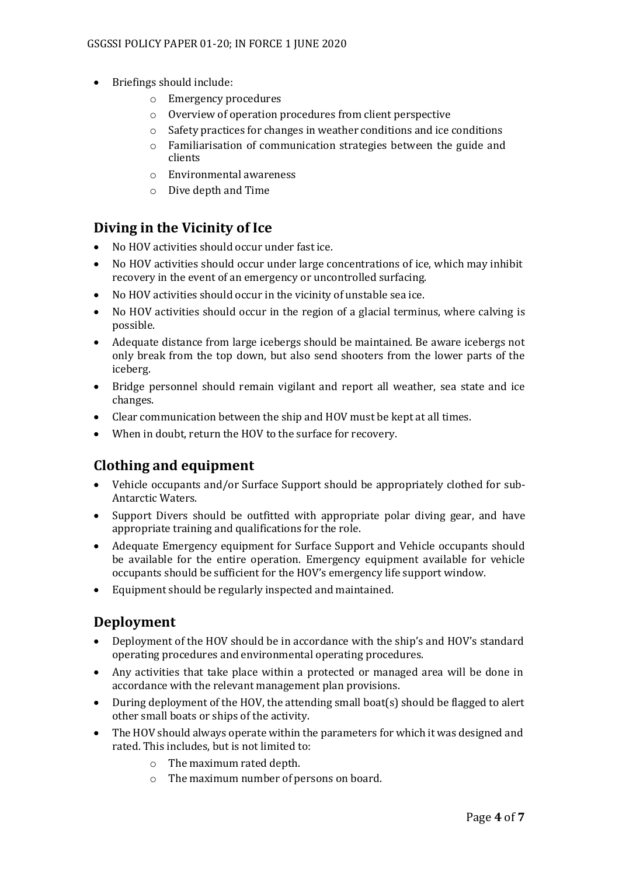- Briefings should include:
	- o Emergency procedures
	- o Overview of operation procedures from client perspective
	- o Safety practices for changes in weather conditions and ice conditions
	- o Familiarisation of communication strategies between the guide and clients
	- o Environmental awareness
	- o Dive depth and Time

## **Diving in the Vicinity of Ice**

- No HOV activities should occur under fast ice.
- No HOV activities should occur under large concentrations of ice, which may inhibit recovery in the event of an emergency or uncontrolled surfacing.
- No HOV activities should occur in the vicinity of unstable sea ice.
- No HOV activities should occur in the region of a glacial terminus, where calving is possible.
- Adequate distance from large icebergs should be maintained. Be aware icebergs not only break from the top down, but also send shooters from the lower parts of the iceberg.
- Bridge personnel should remain vigilant and report all weather, sea state and ice changes.
- Clear communication between the ship and HOV must be kept at all times.
- When in doubt, return the HOV to the surface for recovery.

# **Clothing and equipment**

- Vehicle occupants and/or Surface Support should be appropriately clothed for sub-Antarctic Waters.
- Support Divers should be outfitted with appropriate polar diving gear, and have appropriate training and qualifications for the role.
- Adequate Emergency equipment for Surface Support and Vehicle occupants should be available for the entire operation. Emergency equipment available for vehicle occupants should be sufficient for the HOV's emergency life support window.
- Equipment should be regularly inspected and maintained.

### **Deployment**

- Deployment of the HOV should be in accordance with the ship's and HOV's standard operating procedures and environmental operating procedures.
- Any activities that take place within a protected or managed area will be done in accordance with the relevant management plan provisions.
- During deployment of the HOV, the attending small boat(s) should be flagged to alert other small boats or ships of the activity.
- The HOV should always operate within the parameters for which it was designed and rated. This includes, but is not limited to:
	- o The maximum rated depth.
	- o The maximum number of persons on board.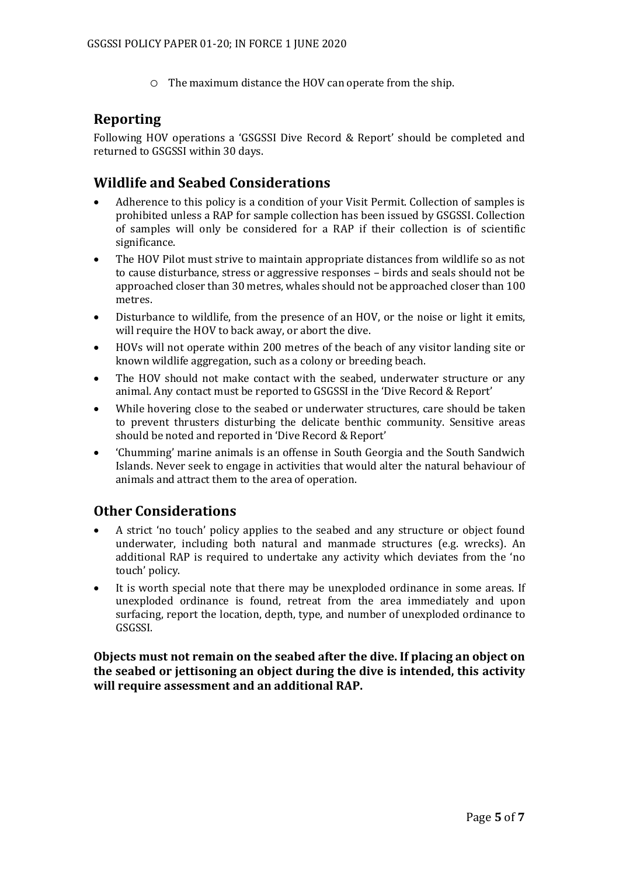o The maximum distance the HOV can operate from the ship.

## **Reporting**

Following HOV operations a 'GSGSSI Dive Record & Report' should be completed and returned to GSGSSI within 30 days.

# **Wildlife and Seabed Considerations**

- Adherence to this policy is a condition of your Visit Permit. Collection of samples is prohibited unless a RAP for sample collection has been issued by GSGSSI. Collection of samples will only be considered for a RAP if their collection is of scientific significance.
- The HOV Pilot must strive to maintain appropriate distances from wildlife so as not to cause disturbance, stress or aggressive responses – birds and seals should not be approached closer than 30 metres, whales should not be approached closer than 100 metres.
- Disturbance to wildlife, from the presence of an HOV, or the noise or light it emits, will require the HOV to back away, or abort the dive.
- HOVs will not operate within 200 metres of the beach of any visitor landing site or known wildlife aggregation, such as a colony or breeding beach.
- The HOV should not make contact with the seabed, underwater structure or any animal. Any contact must be reported to GSGSSI in the 'Dive Record & Report'
- While hovering close to the seabed or underwater structures, care should be taken to prevent thrusters disturbing the delicate benthic community. Sensitive areas should be noted and reported in 'Dive Record & Report'
- 'Chumming' marine animals is an offense in South Georgia and the South Sandwich Islands. Never seek to engage in activities that would alter the natural behaviour of animals and attract them to the area of operation.

# **Other Considerations**

- A strict 'no touch' policy applies to the seabed and any structure or object found underwater, including both natural and manmade structures (e.g. wrecks). An additional RAP is required to undertake any activity which deviates from the 'no touch' policy.
- It is worth special note that there may be unexploded ordinance in some areas. If unexploded ordinance is found, retreat from the area immediately and upon surfacing, report the location, depth, type, and number of unexploded ordinance to GSGSSI.

**Objects must not remain on the seabed after the dive. If placing an object on the seabed or jettisoning an object during the dive is intended, this activity will require assessment and an additional RAP.**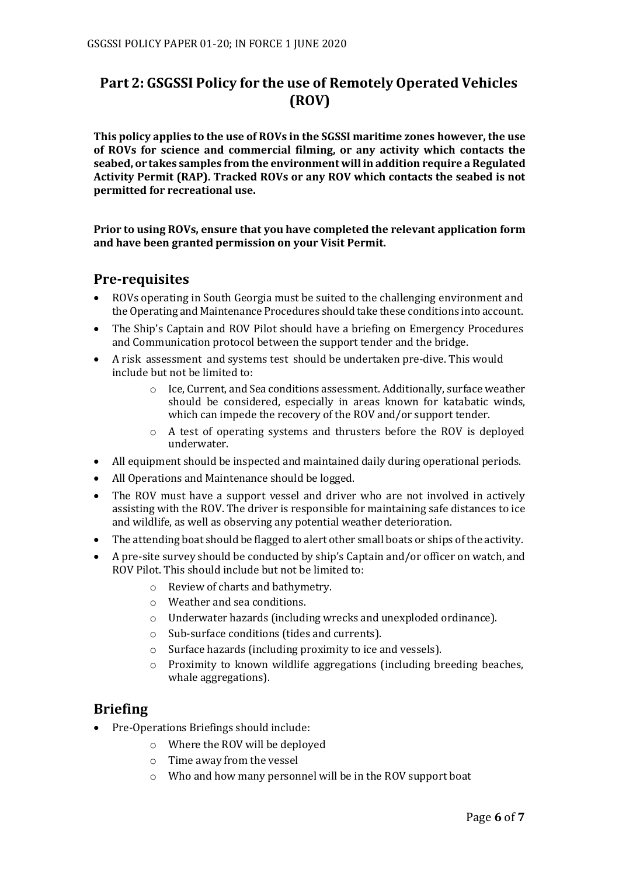# **Part 2: GSGSSI Policy for the use of Remotely Operated Vehicles (ROV)**

**This policy applies to the use of ROVs in the SGSSI maritime zones however, the use of ROVs for science and commercial filming, or any activity which contacts the seabed, or takes samples from the environment will in addition require a Regulated Activity Permit (RAP). Tracked ROVs or any ROV which contacts the seabed is not permitted for recreational use.**

#### **Prior to using ROVs, ensure that you have completed the relevant application form and have been granted permission on your Visit Permit.**

### **Pre-requisites**

- ROVs operating in South Georgia must be suited to the challenging environment and theOperating and Maintenance Procedures should take these conditions into account.
- The Ship's Captain and ROV Pilot should have a briefing on Emergency Procedures and Communication protocol between the support tender and the bridge.
- A risk assessment and systems test should be undertaken pre-dive. This would include but not be limited to:
	- o Ice, Current, and Sea conditions assessment. Additionally, surface weather should be considered, especially in areas known for katabatic winds, which can impede the recovery of the ROV and/or support tender.
	- o A test of operating systems and thrusters before the ROV is deployed underwater.
- All equipment should be inspected and maintained daily during operational periods.
- All Operations and Maintenance should be logged.
- The ROV must have a support vessel and driver who are not involved in actively assisting with the ROV. The driver is responsible for maintaining safe distances to ice and wildlife, as well as observing any potential weather deterioration.
- The attending boat should be flagged to alert other small boats or ships of the activity.
- A pre-site survey should be conducted by ship's Captain and/or officer on watch, and ROV Pilot. This should include but not be limited to:
	- o Review of charts and bathymetry.
	- o Weather and sea conditions.
	- o Underwater hazards (including wrecks and unexploded ordinance).
	- o Sub-surface conditions (tides and currents).
	- o Surface hazards (including proximity to ice and vessels).
	- o Proximity to known wildlife aggregations (including breeding beaches, whale aggregations).

## **Briefing**

- Pre-Operations Briefings should include:
	- o Where the ROV will be deployed
	- o Time away from the vessel
	- o Who and how many personnel will be in the ROV support boat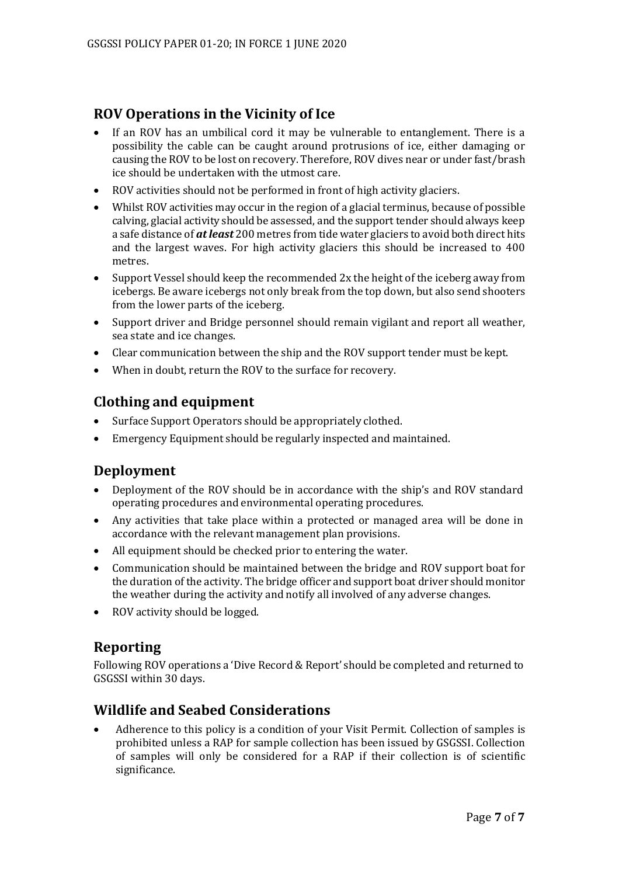# **ROV Operations in the Vicinity of Ice**

- If an ROV has an umbilical cord it may be vulnerable to entanglement. There is a possibility the cable can be caught around protrusions of ice, either damaging or causing the ROV to be lost on recovery. Therefore, ROV dives near or under fast/brash ice should be undertaken with the utmost care.
- ROV activities should not be performed in front of high activity glaciers.
- Whilst ROV activities may occur in the region of a glacial terminus, because of possible calving, glacial activity should be assessed, and the support tender should always keep a safe distance of *at least* 200 metres from tide water glaciers to avoid both direct hits and the largest waves. For high activity glaciers this should be increased to 400 metres.
- Support Vessel should keep the recommended 2x the height of the iceberg away from icebergs. Be aware icebergs not only break from the top down, but also send shooters from the lower parts of the iceberg.
- Support driver and Bridge personnel should remain vigilant and report all weather, sea state and ice changes.
- Clear communication between the ship and the ROV support tender must be kept.
- When in doubt, return the ROV to the surface for recovery.

# **Clothing and equipment**

- Surface Support Operators should be appropriately clothed.
- Emergency Equipment should be regularly inspected and maintained.

## **Deployment**

- Deployment of the ROV should be in accordance with the ship's and ROV standard operating procedures and environmental operating procedures.
- Any activities that take place within a protected or managed area will be done in accordance with the relevant management plan provisions.
- All equipment should be checked prior to entering the water.
- Communication should be maintained between the bridge and ROV support boat for the duration of the activity. The bridge officer and support boat driver should monitor the weather during the activity and notify all involved of any adverse changes.
- ROV activity should be logged.

## **Reporting**

Following ROV operations a 'Dive Record & Report' should be completed and returned to GSGSSI within 30 days.

## **Wildlife and Seabed Considerations**

• Adherence to this policy is a condition of your Visit Permit. Collection of samples is prohibited unless a RAP for sample collection has been issued by GSGSSI. Collection of samples will only be considered for a RAP if their collection is of scientific significance.